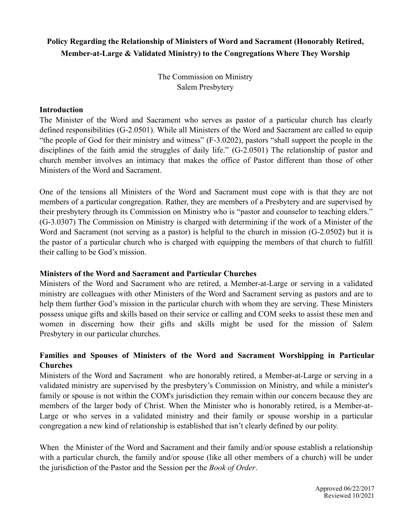# **Policy Regarding the Relationship of Ministers of Word and Sacrament (Honorably Retired, Member-at-Large & Validated Ministry) to the Congregations Where They Worship**

The Commission on Ministry Salem Presbytery

#### **Introduction**

The Minister of the Word and Sacrament who serves as pastor of a particular church has clearly defined responsibilities (G-2.0501). While all Ministers of the Word and Sacrament are called to equip "the people of God for their ministry and witness" (F-3.0202), pastors "shall support the people in the disciplines of the faith amid the struggles of daily life." (G-2.0501) The relationship of pastor and church member involves an intimacy that makes the office of Pastor different than those of other Ministers of the Word and Sacrament.

One of the tensions all Ministers of the Word and Sacrament must cope with is that they are not members of a particular congregation. Rather, they are members of a Presbytery and are supervised by their presbytery through its Commission on Ministry who is "pastor and counselor to teaching elders." (G-3.0307) The Commission on Ministry is charged with determining if the work of a Minister of the Word and Sacrament (not serving as a pastor) is helpful to the church in mission (G-2.0502) but it is the pastor of a particular church who is charged with equipping the members of that church to fulfill their calling to be God's mission.

## **Ministers of the Word and Sacrament and Particular Churches**

Ministers of the Word and Sacrament who are retired, a Member-at-Large or serving in a validated ministry are colleagues with other Ministers of the Word and Sacrament serving as pastors and are to help them further God's mission in the particular church with whom they are serving. These Ministers possess unique gifts and skills based on their service or calling and COM seeks to assist these men and women in discerning how their gifts and skills might be used for the mission of Salem Presbytery in our particular churches.

## **Families and Spouses of Ministers of the Word and Sacrament Worshipping in Particular Churches**

Ministers of the Word and Sacrament who are honorably retired, a Member-at-Large or serving in a validated ministry are supervised by the presbytery's Commission on Ministry, and while a minister's family or spouse is not within the COM's jurisdiction they remain within our concern because they are members of the larger body of Christ. When the Minister who is honorably retired, is a Member-at-Large or who serves in a validated ministry and their family or spouse worship in a particular congregation a new kind of relationship is established that isn't clearly defined by our polity.

When the Minister of the Word and Sacrament and their family and/or spouse establish a relationship with a particular church, the family and/or spouse (like all other members of a church) will be under the jurisdiction of the Pastor and the Session per the *Book of Order*.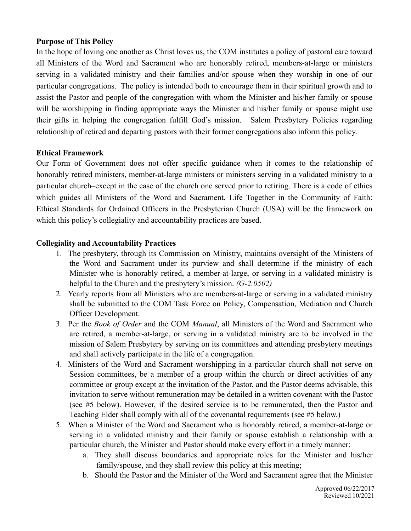## **Purpose of This Policy**

In the hope of loving one another as Christ loves us, the COM institutes a policy of pastoral care toward all Ministers of the Word and Sacrament who are honorably retired, members-at-large or ministers serving in a validated ministry–and their families and/or spouse–when they worship in one of our particular congregations. The policy is intended both to encourage them in their spiritual growth and to assist the Pastor and people of the congregation with whom the Minister and his/her family or spouse will be worshipping in finding appropriate ways the Minister and his/her family or spouse might use their gifts in helping the congregation fulfill God's mission. Salem Presbytery Policies regarding relationship of retired and departing pastors with their former congregations also inform this policy.

## **Ethical Framework**

Our Form of Government does not offer specific guidance when it comes to the relationship of honorably retired ministers, member-at-large ministers or ministers serving in a validated ministry to a particular church–except in the case of the church one served prior to retiring. There is a code of ethics which guides all Ministers of the Word and Sacrament. Life Together in the Community of Faith: Ethical Standards for Ordained Officers in the Presbyterian Church (USA) will be the framework on which this policy's collegiality and accountability practices are based.

## **Collegiality and Accountability Practices**

- 1. The presbytery, through its Commission on Ministry, maintains oversight of the Ministers of the Word and Sacrament under its purview and shall determine if the ministry of each Minister who is honorably retired, a member-at-large, or serving in a validated ministry is helpful to the Church and the presbytery's mission. *(G-2.0502)*
- 2. Yearly reports from all Ministers who are members-at-large or serving in a validated ministry shall be submitted to the COM Task Force on Policy, Compensation, Mediation and Church Officer Development.
- 3. Per the *Book of Order* and the COM *Manual*, all Ministers of the Word and Sacrament who are retired, a member-at-large, or serving in a validated ministry are to be involved in the mission of Salem Presbytery by serving on its committees and attending presbytery meetings and shall actively participate in the life of a congregation.
- 4. Ministers of the Word and Sacrament worshipping in a particular church shall not serve on Session committees, be a member of a group within the church or direct activities of any committee or group except at the invitation of the Pastor, and the Pastor deems advisable, this invitation to serve without remuneration may be detailed in a written covenant with the Pastor (see #5 below). However, if the desired service is to be remunerated, then the Pastor and Teaching Elder shall comply with all of the covenantal requirements (see #5 below.)
- 5. When a Minister of the Word and Sacrament who is honorably retired, a member-at-large or serving in a validated ministry and their family or spouse establish a relationship with a particular church, the Minister and Pastor should make every effort in a timely manner:
	- a. They shall discuss boundaries and appropriate roles for the Minister and his/her family/spouse, and they shall review this policy at this meeting;
	- b. Should the Pastor and the Minister of the Word and Sacrament agree that the Minister